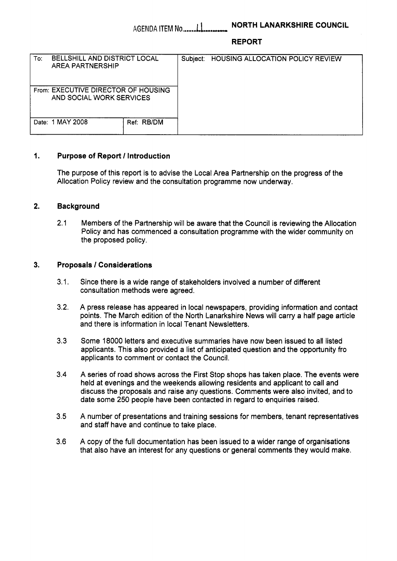### **REPORT**

| To:                                                             | <b>BELLSHILL AND DISTRICT LOCAL</b><br><b>AREA PARTNERSHIP</b> |            | Subject: | <b>HOUSING ALLOCATION POLICY REVIEW</b> |
|-----------------------------------------------------------------|----------------------------------------------------------------|------------|----------|-----------------------------------------|
| From: EXECUTIVE DIRECTOR OF HOUSING<br>AND SOCIAL WORK SERVICES |                                                                |            |          |                                         |
|                                                                 | Date: 1 MAY 2008                                               | Ref: RB/DM |          |                                         |

# **1. Purpose of Report** / **Introduction**

The purpose of this report is to advise the Local Area Partnership on the progress of the Allocation Policy review and the consultation programme now underway.

# **2. Background**

2.1 Members of the Partnership will be aware that the Council is reviewing the Allocation Policy and has commenced a consultation programme with the wider community on the proposed policy.

# **3. Proposals** *I* **Considerations**

- $3.1.$ . Since there is a wide range of stakeholders involved a number of different consultation methods were agreed.
- $3.2.$ A press release has appeared in local newspapers, providing information and contact points. The March edition of the North Lanarkshire News will carry a half page article and there is information in local Tenant Newsletters.
- 3.3 Some 18000 letters and executive summaries have now been issued to all listed applicants. This also provided a list of anticipated question and the opportunity fro applicants to comment or contact the Council.
- **3.4**  A series of road shows across the First Stop shops has taken place. The events were held at evenings and the weekends allowing residents and applicant to call and discuss the proposals and raise any questions. Comments were also invited, and to date some 250 people have been contacted in regard to enquiries raised.
- **3.5**  A number of presentations and training sessions for members, tenant representatives and staff have and continue to take place.
- 3.6 A copy of the full documentation has been issued to a wider range of organisations that also have an interest for any questions or general comments they would make.